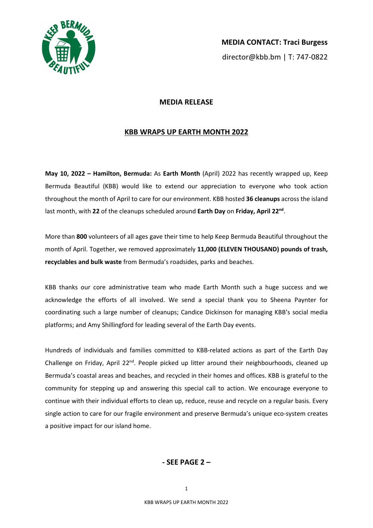

## **MEDIA RELEASE**

## **KBB WRAPS UP EARTH MONTH 2022**

**May 10, 2022 – Hamilton, Bermuda:** As **Earth Month** (April) 2022 has recently wrapped up, Keep Bermuda Beautiful (KBB) would like to extend our appreciation to everyone who took action throughout the month of April to care for our environment. KBB hosted **36 cleanups** across the island last month, with **22** of the cleanups scheduled around **Earth Day** on **Friday, April 22nd**.

More than **800** volunteers of all ages gave their time to help Keep Bermuda Beautiful throughout the month of April. Together, we removed approximately **11,000 (ELEVEN THOUSAND) pounds of trash, recyclables and bulk waste** from Bermuda's roadsides, parks and beaches.

KBB thanks our core administrative team who made Earth Month such a huge success and we acknowledge the efforts of all involved. We send a special thank you to Sheena Paynter for coordinating such a large number of cleanups; Candice Dickinson for managing KBB's social media platforms; and Amy Shillingford for leading several of the Earth Day events.

Hundreds of individuals and families committed to KBB-related actions as part of the Earth Day Challenge on Friday, April 22<sup>nd</sup>. People picked up litter around their neighbourhoods, cleaned up Bermuda's coastal areas and beaches, and recycled in their homes and offices. KBB is grateful to the community for stepping up and answering this special call to action. We encourage everyone to continue with their individual efforts to clean up, reduce, reuse and recycle on a regular basis. Every single action to care for our fragile environment and preserve Bermuda's unique eco-system creates a positive impact for our island home.

## **- SEE PAGE 2 –**